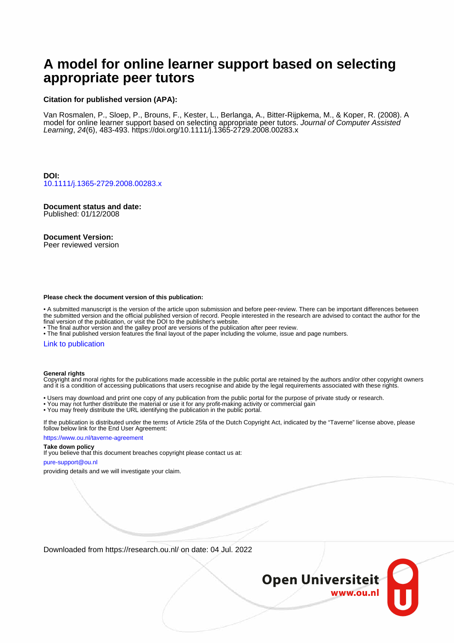# **A model for online learner support based on selecting appropriate peer tutors**

#### **Citation for published version (APA):**

Van Rosmalen, P., Sloep, P., Brouns, F., Kester, L., Berlanga, A., Bitter-Rijpkema, M., & Koper, R. (2008). A model for online learner support based on selecting appropriate peer tutors. Journal of Computer Assisted Learning, 24(6), 483-493. <https://doi.org/10.1111/j.1365-2729.2008.00283.x>

**DOI:** [10.1111/j.1365-2729.2008.00283.x](https://doi.org/10.1111/j.1365-2729.2008.00283.x)

# **Document status and date:**

Published: 01/12/2008

#### **Document Version:**

Peer reviewed version

#### **Please check the document version of this publication:**

• A submitted manuscript is the version of the article upon submission and before peer-review. There can be important differences between the submitted version and the official published version of record. People interested in the research are advised to contact the author for the final version of the publication, or visit the DOI to the publisher's website.

• The final author version and the galley proof are versions of the publication after peer review.

• The final published version features the final layout of the paper including the volume, issue and page numbers.

#### [Link to publication](https://research.ou.nl/en/publications/903f6248-7acb-4206-83b2-e6571f934c7c)

#### **General rights**

Copyright and moral rights for the publications made accessible in the public portal are retained by the authors and/or other copyright owners and it is a condition of accessing publications that users recognise and abide by the legal requirements associated with these rights.

- Users may download and print one copy of any publication from the public portal for the purpose of private study or research.
- You may not further distribute the material or use it for any profit-making activity or commercial gain
- You may freely distribute the URL identifying the publication in the public portal.

If the publication is distributed under the terms of Article 25fa of the Dutch Copyright Act, indicated by the "Taverne" license above, please follow below link for the End User Agreement:

#### https://www.ou.nl/taverne-agreement

#### **Take down policy**

If you believe that this document breaches copyright please contact us at:

#### pure-support@ou.nl

providing details and we will investigate your claim.

Downloaded from https://research.ou.nl/ on date: 04 Jul. 2022

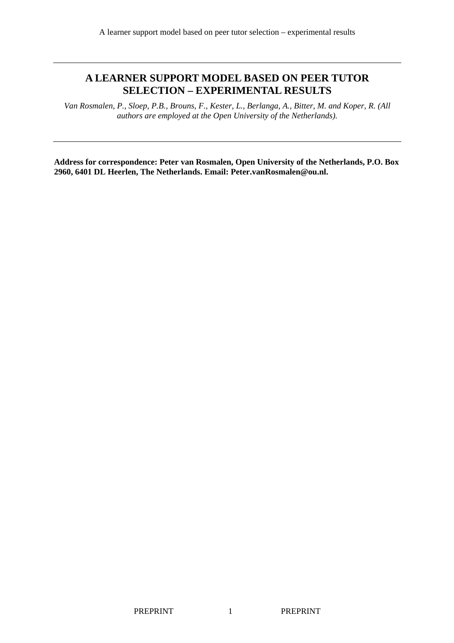# **A LEARNER SUPPORT MODEL BASED ON PEER TUTOR SELECTION – EXPERIMENTAL RESULTS**

*Van Rosmalen, P., Sloep, P.B., Brouns, F., Kester, L., Berlanga, A., Bitter, M. and Koper, R. (All authors are employed at the Open University of the Netherlands).* 

**Address for correspondence: Peter van Rosmalen, Open University of the Netherlands, P.O. Box 2960, 6401 DL Heerlen, The Netherlands. Email: Peter.vanRosmalen@ou.nl.**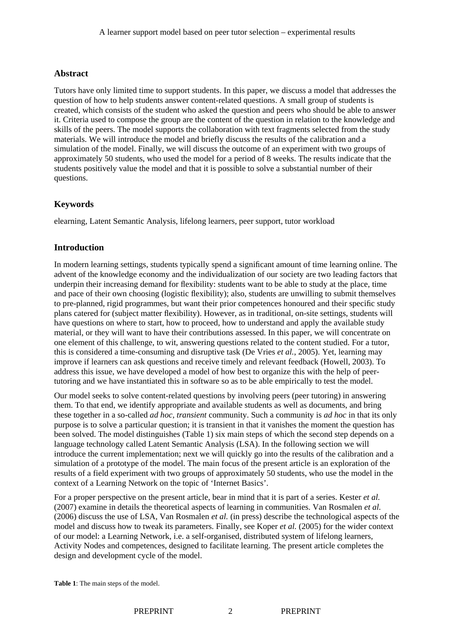# **Abstract**

Tutors have only limited time to support students. In this paper, we discuss a model that addresses the question of how to help students answer content-related questions. A small group of students is created, which consists of the student who asked the question and peers who should be able to answer it. Criteria used to compose the group are the content of the question in relation to the knowledge and skills of the peers. The model supports the collaboration with text fragments selected from the study materials. We will introduce the model and briefly discuss the results of the calibration and a simulation of the model. Finally, we will discuss the outcome of an experiment with two groups of approximately 50 students, who used the model for a period of 8 weeks. The results indicate that the students positively value the model and that it is possible to solve a substantial number of their questions.

# **Keywords**

elearning, Latent Semantic Analysis, lifelong learners, peer support, tutor workload

# **Introduction**

In modern learning settings, students typically spend a significant amount of time learning online. The advent of the knowledge economy and the individualization of our society are two leading factors that underpin their increasing demand for flexibility: students want to be able to study at the place, time and pace of their own choosing (logistic flexibility); also, students are unwilling to submit themselves to pre-planned, rigid programmes, but want their prior competences honoured and their specific study plans catered for (subject matter flexibility). However, as in traditional, on-site settings, students will have questions on where to start, how to proceed, how to understand and apply the available study material, or they will want to have their contributions assessed. In this paper, we will concentrate on one element of this challenge, to wit, answering questions related to the content studied. For a tutor, this is considered a time-consuming and disruptive task (De Vries *et al.*, 2005). Yet, learning may improve if learners can ask questions and receive timely and relevant feedback (Howell, 2003). To address this issue, we have developed a model of how best to organize this with the help of peertutoring and we have instantiated this in software so as to be able empirically to test the model.

Our model seeks to solve content-related questions by involving peers (peer tutoring) in answering them. To that end, we identify appropriate and available students as well as documents, and bring these together in a so-called *ad hoc, transient* community. Such a community is *ad hoc* in that its only purpose is to solve a particular question; it is transient in that it vanishes the moment the question has been solved. The model distinguishes (Table 1) six main steps of which the second step depends on a language technology called Latent Semantic Analysis (LSA). In the following section we will introduce the current implementation; next we will quickly go into the results of the calibration and a simulation of a prototype of the model. The main focus of the present article is an exploration of the results of a field experiment with two groups of approximately 50 students, who use the model in the context of a Learning Network on the topic of 'Internet Basics'.

For a proper perspective on the present article, bear in mind that it is part of a series. Kester *et al.*  (2007) examine in details the theoretical aspects of learning in communities. Van Rosmalen *et al.* (2006) discuss the use of LSA, Van Rosmalen *et al.* (in press) describe the technological aspects of the model and discuss how to tweak its parameters. Finally, see Koper *et al.* (2005) for the wider context of our model: a Learning Network, i.e. a self-organised, distributed system of lifelong learners, Activity Nodes and competences, designed to facilitate learning. The present article completes the design and development cycle of the model.

**Table 1**: The main steps of the model.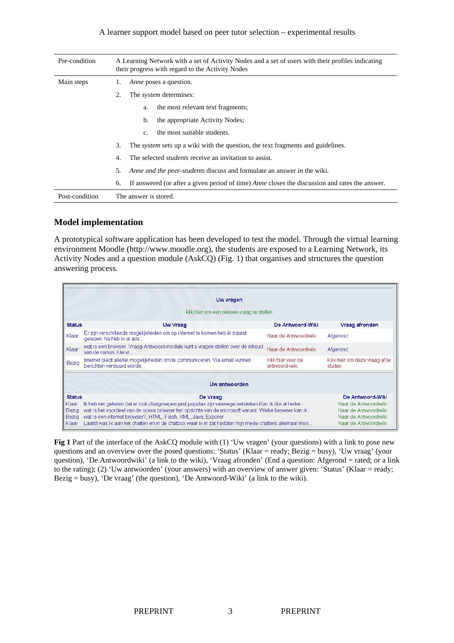#### A learner support model based on peer tutor selection – experimental results

| Pre-condition  | A Learning Network with a set of Activity Nodes and a set of users with their profiles indicating<br>their progress with regard to the Activity Nodes |  |  |  |
|----------------|-------------------------------------------------------------------------------------------------------------------------------------------------------|--|--|--|
| Main steps     | <i>Anne</i> poses a question.<br>1.                                                                                                                   |  |  |  |
|                | 2.<br>The <i>system</i> determines:                                                                                                                   |  |  |  |
|                | the most relevant text fragments;<br>a.                                                                                                               |  |  |  |
|                | the appropriate Activity Nodes;<br>b.                                                                                                                 |  |  |  |
|                | the most suitable students.<br>c.                                                                                                                     |  |  |  |
|                | 3.<br>The <i>system</i> sets up a wiki with the question, the text fragments and guidelines.                                                          |  |  |  |
|                | The selected <i>students</i> receive an invitation to assist.<br>4.                                                                                   |  |  |  |
|                | Anne and the peer-students discuss and formulate an answer in the wiki.<br>5.                                                                         |  |  |  |
|                | If answered (or after a given period of time) <i>Anne</i> closes the discussion and rates the answer.<br>6.                                           |  |  |  |
| Post-condition | The answer is stored.                                                                                                                                 |  |  |  |

### **Model implementation**

A prototypical software application has been developed to test the model. Through the virtual learning environment Moodle (http://www.moodle.org), the students are exposed to a Learning Network, its Activity Nodes and a question module (AskCQ) (Fig. 1) that organises and structures the question answering process.

|                | Uw vragen                                                                                                                                                             |                                              |                                          |  |
|----------------|-----------------------------------------------------------------------------------------------------------------------------------------------------------------------|----------------------------------------------|------------------------------------------|--|
|                | klik hier om een nieuwe vraag te stellen                                                                                                                              |                                              |                                          |  |
| <b>Status</b>  | <b>Uw Vraag</b>                                                                                                                                                       | De Antwoord-Wiki                             | Vraag afronden                           |  |
| Klaar          | Er zijn verschillende mogelijkheden om op internet te komen heb ik zojuist<br>gelezen. Nu heb ik al ads                                                               | Naar de Antwoordwiki                         | Afgerond                                 |  |
| Klaar          | wat is een browser. Vraag-Antwoord-module kunt u vragen stellen over de inhoud<br>van de cursus. Uw vr                                                                | Naar de Antwoordwiki                         | Afgerond                                 |  |
| Bezig          | Internet biedt allerlei mogelijkheden om te communiceren. Via email kunnen<br>berichten verstuurd worde                                                               | Klik hier voor de<br>antwoord-wiki           | Klik hier om deze vraag af te<br>sluiten |  |
|                | Uw antwoorden                                                                                                                                                         |                                              |                                          |  |
| <b>Status</b>  | De Vraag                                                                                                                                                              |                                              | De Antwoord-Wiki                         |  |
| Klaar          | Ik heb net gelezen dat er ook chatgroepen juist populair zijn vanwege netsletten.Kan ik die al herke                                                                  | Naar de Antwoordwiki                         |                                          |  |
| Bezig<br>Bezig | wat is het voordeel van de opera browser ten opzichte van de microsoft variant. Welke browser kan ik<br>wat is een internet browser?, HTML, Flash, XML, Java, Exporer | Naar de Antwoordwiki<br>Naar de Antwoordwiki |                                          |  |
| Klaar          | Laatst was ik aan het chatten en in de chatbox waar ik in zat hadden mijn mede-chatters allemaal moo                                                                  | Naar de Antwoordwiki                         |                                          |  |

**Fig 1** Part of the interface of the AskCQ module with (1) 'Uw vragen' (your questions) with a link to pose new questions and an overview over the posed questions: 'Status' (Klaar = ready; Bezig = busy), 'Uw vraag' (your question), 'De Antwoordwiki' (a link to the wiki), 'Vraag afronden' (End a question: Afgerond = rated; or a link to the rating); (2) 'Uw antwoorden' (your answers) with an overview of answer given: 'Status' (Klaar = ready; Bezig = busy), 'De vraag' (the question), 'De Antwoord-Wiki' (a link to the wiki).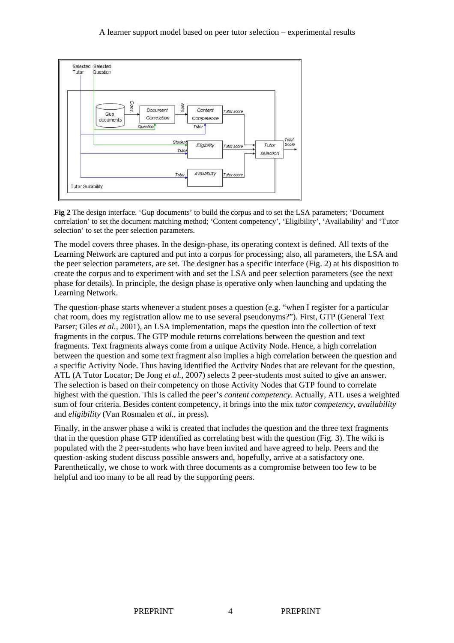#### A learner support model based on peer tutor selection – experimental results



**Fig 2** The design interface. 'Gup documents' to build the corpus and to set the LSA parameters; 'Document correlation' to set the document matching method; 'Content competency', 'Eligibility', 'Availability' and 'Tutor selection' to set the peer selection parameters.

The model covers three phases. In the design-phase, its operating context is defined. All texts of the Learning Network are captured and put into a corpus for processing; also, all parameters, the LSA and the peer selection parameters, are set. The designer has a specific interface (Fig. 2) at his disposition to create the corpus and to experiment with and set the LSA and peer selection parameters (see the next phase for details). In principle, the design phase is operative only when launching and updating the Learning Network.

The question-phase starts whenever a student poses a question (e.g. "when I register for a particular chat room, does my registration allow me to use several pseudonyms?"). First, GTP (General Text Parser; Giles *et al.*, 2001), an LSA implementation, maps the question into the collection of text fragments in the corpus. The GTP module returns correlations between the question and text fragments. Text fragments always come from a unique Activity Node. Hence, a high correlation between the question and some text fragment also implies a high correlation between the question and a specific Activity Node. Thus having identified the Activity Nodes that are relevant for the question, ATL (A Tutor Locator; De Jong *et al.*, 2007) selects 2 peer-students most suited to give an answer. The selection is based on their competency on those Activity Nodes that GTP found to correlate highest with the question. This is called the peer's *content competency*. Actually, ATL uses a weighted sum of four criteria. Besides content competency*,* it brings into the mix *tutor competency*, *availability*  and *eligibility* (Van Rosmalen *et al.*, in press).

Finally, in the answer phase a wiki is created that includes the question and the three text fragments that in the question phase GTP identified as correlating best with the question (Fig. 3). The wiki is populated with the 2 peer-students who have been invited and have agreed to help. Peers and the question-asking student discuss possible answers and, hopefully, arrive at a satisfactory one. Parenthetically, we chose to work with three documents as a compromise between too few to be helpful and too many to be all read by the supporting peers.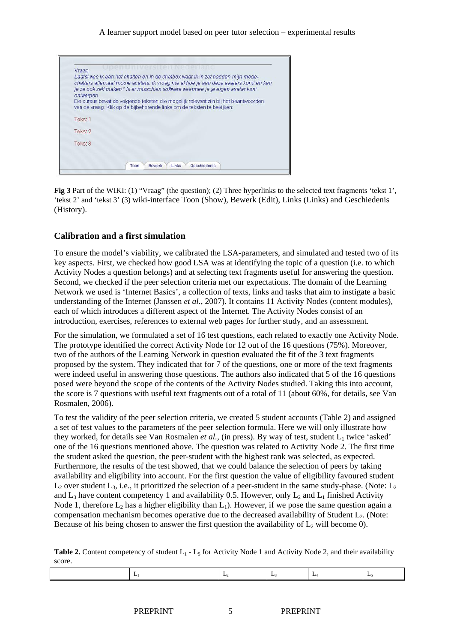| ontwerpen | Laatst was ik aan het chatten en in de chatbox waar ik in zat hadden mijn mede-<br>chatters allemaal mooie avatars. Ik vroeg me af hoe je aan deze avatars komt en kan<br>je ze ook zelf maken? Is er misschien software waarmee je je eigen avatar kunt |
|-----------|----------------------------------------------------------------------------------------------------------------------------------------------------------------------------------------------------------------------------------------------------------|
|           | De cursus bevat de volgende teksten die mogelijk relevant zijn bij het beantwoorden<br>van de vraag. Klik op de bijbehorende links om de teksten te bekijken:                                                                                            |
| Tekst 1   |                                                                                                                                                                                                                                                          |
| Tekst 2   |                                                                                                                                                                                                                                                          |
| Tekst 3   |                                                                                                                                                                                                                                                          |

**Fig 3** Part of the WIKI: (1) "Vraag" (the question); (2) Three hyperlinks to the selected text fragments 'tekst 1', 'tekst 2' and 'tekst 3' (3) wiki-interface Toon (Show), Bewerk (Edit), Links (Links) and Geschiedenis (History).

#### **Calibration and a first simulation**

To ensure the model's viability, we calibrated the LSA-parameters, and simulated and tested two of its key aspects. First, we checked how good LSA was at identifying the topic of a question (i.e. to which Activity Nodes a question belongs) and at selecting text fragments useful for answering the question. Second, we checked if the peer selection criteria met our expectations. The domain of the Learning Network we used is 'Internet Basics', a collection of texts, links and tasks that aim to instigate a basic understanding of the Internet (Janssen *et al.*, 2007). It contains 11 Activity Nodes (content modules), each of which introduces a different aspect of the Internet. The Activity Nodes consist of an introduction, exercises, references to external web pages for further study, and an assessment.

For the simulation, we formulated a set of 16 test questions, each related to exactly one Activity Node. The prototype identified the correct Activity Node for 12 out of the 16 questions (75%). Moreover, two of the authors of the Learning Network in question evaluated the fit of the 3 text fragments proposed by the system. They indicated that for 7 of the questions, one or more of the text fragments were indeed useful in answering those questions. The authors also indicated that 5 of the 16 questions posed were beyond the scope of the contents of the Activity Nodes studied. Taking this into account, the score is 7 questions with useful text fragments out of a total of 11 (about 60%, for details, see Van Rosmalen, 2006).

To test the validity of the peer selection criteria, we created 5 student accounts (Table 2) and assigned a set of test values to the parameters of the peer selection formula. Here we will only illustrate how they worked, for details see Van Rosmalen *et al.*, (in press). By way of test, student  $L_1$  twice 'asked' one of the 16 questions mentioned above. The question was related to Activity Node 2. The first time the student asked the question, the peer-student with the highest rank was selected, as expected. Furthermore, the results of the test showed, that we could balance the selection of peers by taking availability and eligibility into account. For the first question the value of eligibility favoured student  $L_2$  over student  $L_3$ , i.e., it prioritized the selection of a peer-student in the same study-phase. (Note:  $L_2$ and  $L_3$  have content competency 1 and availability 0.5. However, only  $L_2$  and  $L_1$  finished Activity Node 1, therefore  $L_2$  has a higher eligibility than  $L_1$ ). However, if we pose the same question again a compensation mechanism becomes operative due to the decreased availability of Student  $L<sub>2</sub>$ . (Note: Because of his being chosen to answer the first question the availability of  $L_2$  will become 0).

**Table 2.** Content competency of student  $L_1$  -  $L_5$  for Activity Node 1 and Activity Node 2, and their availability score.

|--|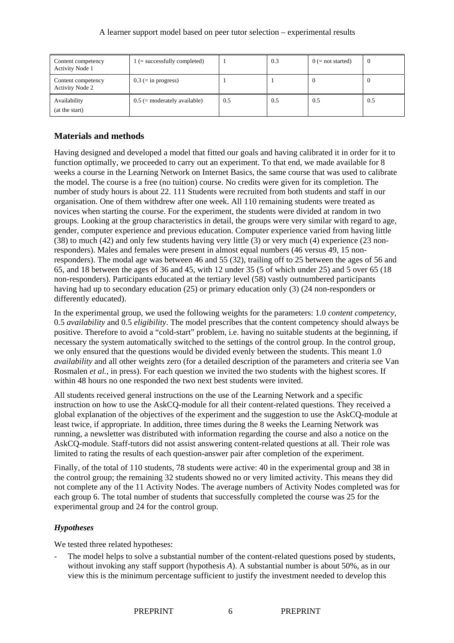| Content competency<br><b>Activity Node 1</b> | $1$ (= successfully completed) |     | 0.3 | $0$ (= not started) | v   |
|----------------------------------------------|--------------------------------|-----|-----|---------------------|-----|
| Content competency<br><b>Activity Node 2</b> | $0.3$ (= in progress)          |     |     |                     |     |
| Availability<br>(at the start)               | $0.5$ (= moderately available) | 0.5 | 0.5 | 0.5                 | 0.5 |

### **Materials and methods**

Having designed and developed a model that fitted our goals and having calibrated it in order for it to function optimally, we proceeded to carry out an experiment. To that end, we made available for 8 weeks a course in the Learning Network on Internet Basics, the same course that was used to calibrate the model. The course is a free (no tuition) course. No credits were given for its completion. The number of study hours is about 22. 111 Students were recruited from both students and staff in our organisation. One of them withdrew after one week. All 110 remaining students were treated as novices when starting the course. For the experiment, the students were divided at random in two groups. Looking at the group characteristics in detail, the groups were very similar with regard to age, gender, computer experience and previous education. Computer experience varied from having little (38) to much (42) and only few students having very little (3) or very much (4) experience (23 nonresponders). Males and females were present in almost equal numbers (46 versus 49, 15 nonresponders). The modal age was between 46 and 55 (32), trailing off to 25 between the ages of 56 and 65, and 18 between the ages of 36 and 45, with 12 under 35 (5 of which under 25) and 5 over 65 (18 non-responders). Participants educated at the tertiary level (58) vastly outnumbered participants having had up to secondary education (25) or primary education only (3) (24 non-responders or differently educated).

In the experimental group, we used the following weights for the parameters: 1.0 *content competency*, 0.5 *availability* and 0.5 *eligibility*. The model prescribes that the content competency should always be positive. Therefore to avoid a "cold-start" problem, i.e. having no suitable students at the beginning, if necessary the system automatically switched to the settings of the control group. In the control group, we only ensured that the questions would be divided evenly between the students. This meant 1.0 *availability* and all other weights zero (for a detailed description of the parameters and criteria see Van Rosmalen *et al.*, in press). For each question we invited the two students with the highest scores. If within 48 hours no one responded the two next best students were invited.

All students received general instructions on the use of the Learning Network and a specific instruction on how to use the AskCQ-module for all their content-related questions. They received a global explanation of the objectives of the experiment and the suggestion to use the AskCQ-module at least twice, if appropriate. In addition, three times during the 8 weeks the Learning Network was running, a newsletter was distributed with information regarding the course and also a notice on the AskCQ-module. Staff-tutors did not assist answering content-related questions at all. Their role was limited to rating the results of each question-answer pair after completion of the experiment.

Finally, of the total of 110 students, 78 students were active: 40 in the experimental group and 38 in the control group; the remaining 32 students showed no or very limited activity. This means they did not complete any of the 11 Activity Nodes. The average numbers of Activity Nodes completed was for each group 6. The total number of students that successfully completed the course was 25 for the experimental group and 24 for the control group.

### *Hypotheses*

We tested three related hypotheses:

The model helps to solve a substantial number of the content-related questions posed by students, without invoking any staff support (hypothesis *A*). A substantial number is about 50%, as in our view this is the minimum percentage sufficient to justify the investment needed to develop this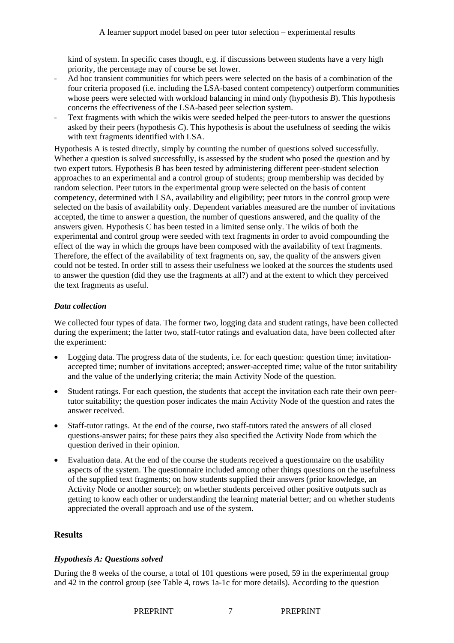kind of system. In specific cases though, e.g. if discussions between students have a very high priority, the percentage may of course be set lower.

- Ad hoc transient communities for which peers were selected on the basis of a combination of the four criteria proposed (i.e. including the LSA-based content competency) outperform communities whose peers were selected with workload balancing in mind only (hypothesis *B*). This hypothesis concerns the effectiveness of the LSA-based peer selection system.
- Text fragments with which the wikis were seeded helped the peer-tutors to answer the questions asked by their peers (hypothesis *C*). This hypothesis is about the usefulness of seeding the wikis with text fragments identified with LSA.

Hypothesis A is tested directly, simply by counting the number of questions solved successfully. Whether a question is solved successfully, is assessed by the student who posed the question and by two expert tutors. Hypothesis *B* has been tested by administering different peer-student selection approaches to an experimental and a control group of students; group membership was decided by random selection. Peer tutors in the experimental group were selected on the basis of content competency, determined with LSA, availability and eligibility; peer tutors in the control group were selected on the basis of availability only. Dependent variables measured are the number of invitations accepted, the time to answer a question, the number of questions answered, and the quality of the answers given. Hypothesis C has been tested in a limited sense only. The wikis of both the experimental and control group were seeded with text fragments in order to avoid compounding the effect of the way in which the groups have been composed with the availability of text fragments. Therefore, the effect of the availability of text fragments on, say, the quality of the answers given could not be tested. In order still to assess their usefulness we looked at the sources the students used to answer the question (did they use the fragments at all?) and at the extent to which they perceived the text fragments as useful.

### *Data collection*

We collected four types of data. The former two, logging data and student ratings, have been collected during the experiment; the latter two, staff-tutor ratings and evaluation data, have been collected after the experiment:

- Logging data. The progress data of the students, i.e. for each question: question time; invitationaccepted time; number of invitations accepted; answer-accepted time; value of the tutor suitability and the value of the underlying criteria; the main Activity Node of the question.
- Student ratings. For each question, the students that accept the invitation each rate their own peertutor suitability; the question poser indicates the main Activity Node of the question and rates the answer received.
- Staff-tutor ratings. At the end of the course, two staff-tutors rated the answers of all closed questions-answer pairs; for these pairs they also specified the Activity Node from which the question derived in their opinion.
- Evaluation data. At the end of the course the students received a questionnaire on the usability aspects of the system. The questionnaire included among other things questions on the usefulness of the supplied text fragments; on how students supplied their answers (prior knowledge, an Activity Node or another source); on whether students perceived other positive outputs such as getting to know each other or understanding the learning material better; and on whether students appreciated the overall approach and use of the system.

# **Results**

### *Hypothesis A: Questions solved*

During the 8 weeks of the course, a total of 101 questions were posed, 59 in the experimental group and 42 in the control group (see Table 4, rows 1a-1c for more details). According to the question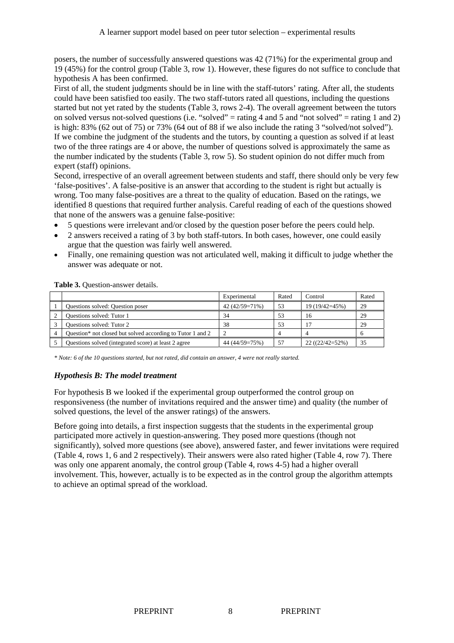posers, the number of successfully answered questions was 42 (71%) for the experimental group and 19 (45%) for the control group (Table 3, row 1). However, these figures do not suffice to conclude that hypothesis A has been confirmed.

First of all, the student judgments should be in line with the staff-tutors' rating. After all, the students could have been satisfied too easily. The two staff-tutors rated all questions, including the questions started but not yet rated by the students (Table 3, rows 2-4). The overall agreement between the tutors on solved versus not-solved questions (i.e. "solved" = rating 4 and 5 and "not solved" = rating 1 and 2) is high: 83% (62 out of 75) or 73% (64 out of 88 if we also include the rating 3 "solved/not solved"). If we combine the judgment of the students and the tutors, by counting a question as solved if at least two of the three ratings are 4 or above, the number of questions solved is approximately the same as the number indicated by the students (Table 3, row 5). So student opinion do not differ much from expert (staff) opinions.

Second, irrespective of an overall agreement between students and staff, there should only be very few 'false-positives'. A false-positive is an answer that according to the student is right but actually is wrong. Too many false-positives are a threat to the quality of education. Based on the ratings, we identified 8 questions that required further analysis. Careful reading of each of the questions showed that none of the answers was a genuine false-positive:

- 5 questions were irrelevant and/or closed by the question poser before the peers could help.
- 2 answers received a rating of 3 by both staff-tutors. In both cases, however, one could easily argue that the question was fairly well answered.
- Finally, one remaining question was not articulated well, making it difficult to judge whether the answer was adequate or not.

|                                                                        | Experimental   | Rated | Control          | Rated |
|------------------------------------------------------------------------|----------------|-------|------------------|-------|
| Questions solved: Question poser                                       | 42 (42/59=71%) | 53    | 19 (19/42=45%)   | 29    |
| Questions solved: Tutor 1                                              | 34             | 53    | 16               | 29    |
| Questions solved: Tutor 2                                              | 38             | 53    |                  | 29    |
| Question <sup>*</sup> not closed but solved according to Tutor 1 and 2 |                |       |                  |       |
| Questions solved (integrated score) at least 2 agree                   | 44 (44/59=75%) | 57    | $22((22/42=52%)$ | 35    |

Table 3. Ouestion-answer details.

*\* Note: 6 of the 10 questions started, but not rated, did contain an answer, 4 were not really started.* 

### *Hypothesis B: The model treatment*

For hypothesis B we looked if the experimental group outperformed the control group on responsiveness (the number of invitations required and the answer time) and quality (the number of solved questions, the level of the answer ratings) of the answers.

Before going into details, a first inspection suggests that the students in the experimental group participated more actively in question-answering. They posed more questions (though not significantly), solved more questions (see above), answered faster, and fewer invitations were required (Table 4, rows 1, 6 and 2 respectively). Their answers were also rated higher (Table 4, row 7). There was only one apparent anomaly, the control group (Table 4, rows 4-5) had a higher overall involvement. This, however, actually is to be expected as in the control group the algorithm attempts to achieve an optimal spread of the workload.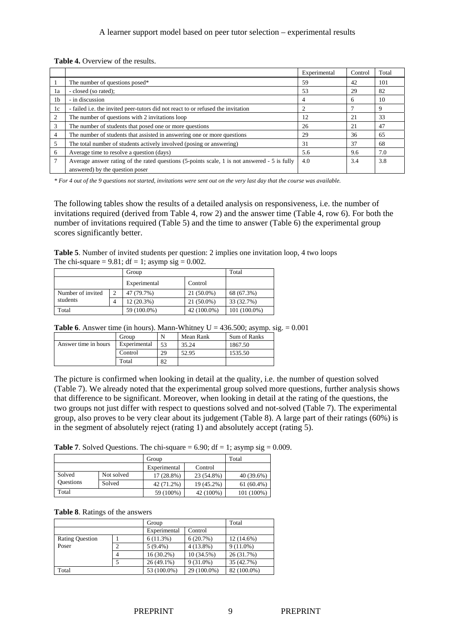|  |  | <b>Table 4.</b> Overview of the results. |  |
|--|--|------------------------------------------|--|
|--|--|------------------------------------------|--|

|                |                                                                                              | Experimental | Control | Total |
|----------------|----------------------------------------------------------------------------------------------|--------------|---------|-------|
|                | The number of questions posed*                                                               | 59           | 42      | 101   |
| 1a             | - closed (so rated);                                                                         | 53           | 29      | 82    |
| 1 <sub>b</sub> | - in discussion                                                                              | 4            | 6       | 10    |
| 1c             | - failed i.e. the invited peer-tutors did not react to or refused the invitation             |              |         |       |
| 2              | The number of questions with 2 invitations loop                                              | 12           | 21      | 33    |
| 3              | The number of students that posed one or more questions                                      | 26           | 21      | 47    |
| $\overline{4}$ | The number of students that assisted in answering one or more questions                      | 29           | 36      | 65    |
| 5              | The total number of students actively involved (posing or answering)                         | 31           | 37      | 68    |
| 6              | Average time to resolve a question (days)                                                    | 5.6          | 9.6     | 7.0   |
| 7              | Average answer rating of the rated questions (5-points scale, 1 is not answered - 5 is fully | 4.0          | 3.4     | 3.8   |
|                | answered) by the question poser                                                              |              |         |       |

*\* For 4 out of the 9 questions not started, invitations were sent out on the very last day that the course was available.* 

The following tables show the results of a detailed analysis on responsiveness, i.e. the number of invitations required (derived from Table 4, row 2) and the answer time (Table 4, row 6). For both the number of invitations required (Table 5) and the time to answer (Table 6) the experimental group scores significantly better.

**Table 5**. Number of invited students per question: 2 implies one invitation loop, 4 two loops The chi-square =  $9.81$ ; df = 1; asymp sig =  $0.002$ .

|                   | Group          |              |              | Total        |
|-------------------|----------------|--------------|--------------|--------------|
|                   |                | Experimental | Control      |              |
| Number of invited | $\overline{2}$ | 47 (79.7%)   | $21(50.0\%)$ | 68 (67.3%)   |
| students          | 4              | $12(20.3\%)$ | $21(50.0\%)$ | 33 (32.7%)   |
| Total             |                | 59 (100.0%)  | 42 (100.0%)  | 101 (100.0%) |

**Table 6**. Answer time (in hours). Mann-Whitney  $U = 436.500$ ; asymp. sig.  $= 0.001$ 

|                      | Group        | N  | Mean Rank | Sum of Ranks |
|----------------------|--------------|----|-----------|--------------|
| Answer time in hours | Experimental | 53 | 35.24     | 1867.50      |
|                      | Control      | 29 | 52.95     | 1535.50      |
|                      | Total        | 82 |           |              |

The picture is confirmed when looking in detail at the quality, i.e. the number of question solved (Table 7). We already noted that the experimental group solved more questions, further analysis shows that difference to be significant. Moreover, when looking in detail at the rating of the questions, the two groups not just differ with respect to questions solved and not-solved (Table 7). The experimental group, also proves to be very clear about its judgement (Table 8). A large part of their ratings (60%) is in the segment of absolutely reject (rating 1) and absolutely accept (rating 5).

**Table 7.** Solved Questions. The chi-square  $= 6.90$ ; df  $= 1$ ; asymp sig  $= 0.009$ .

|                  | Group      |              |            | Total        |
|------------------|------------|--------------|------------|--------------|
|                  |            | Experimental | Control    |              |
| Solved           | Not solved | $17(28.8\%)$ | 23 (54.8%) | 40 (39.6%)   |
| <b>Questions</b> | Solved     | 42 (71.2%)   | 19 (45.2%) | $61(60.4\%)$ |
| Total            |            | 59 (100%)    | 42 (100%)  | 101 (100%)   |

|  |  |  | Table 8. Ratings of the answers |
|--|--|--|---------------------------------|
|--|--|--|---------------------------------|

|                        |   | Group        |             | Total       |  |
|------------------------|---|--------------|-------------|-------------|--|
|                        |   | Experimental | Control     |             |  |
| <b>Rating Question</b> |   | 6(11.3%)     | 6(20.7%)    | 12 (14.6%)  |  |
| Poser                  |   | $5(9.4\%)$   | $4(13.8\%)$ | $9(11.0\%)$ |  |
|                        | 4 | $16(30.2\%)$ | 10 (34.5%)  | 26 (31.7%)  |  |
|                        |   | $26(49.1\%)$ | $9(31.0\%)$ | 35 (42.7%)  |  |
| Total                  |   | 53 (100.0%)  | 29 (100.0%) | 82 (100.0%) |  |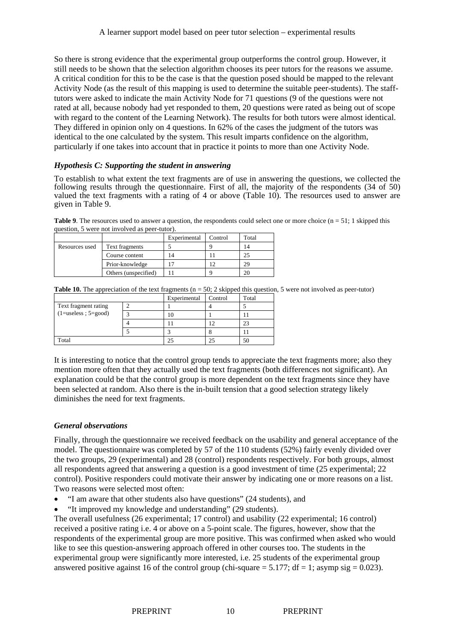So there is strong evidence that the experimental group outperforms the control group. However, it still needs to be shown that the selection algorithm chooses its peer tutors for the reasons we assume. A critical condition for this to be the case is that the question posed should be mapped to the relevant Activity Node (as the result of this mapping is used to determine the suitable peer-students). The stafftutors were asked to indicate the main Activity Node for 71 questions (9 of the questions were not rated at all, because nobody had yet responded to them, 20 questions were rated as being out of scope with regard to the content of the Learning Network). The results for both tutors were almost identical. They differed in opinion only on 4 questions. In 62% of the cases the judgment of the tutors was identical to the one calculated by the system. This result imparts confidence on the algorithm, particularly if one takes into account that in practice it points to more than one Activity Node.

#### *Hypothesis C: Supporting the student in answering*

To establish to what extent the text fragments are of use in answering the questions, we collected the following results through the questionnaire. First of all, the majority of the respondents (34 of 50) valued the text fragments with a rating of 4 or above (Table 10). The resources used to answer are given in Table 9.

**Table 9**. The resources used to answer a question, the respondents could select one or more choice (n = 51; 1 skipped this question, 5 were not involved as peer-tutor).

|                |                      | Experimental | Control | Total |
|----------------|----------------------|--------------|---------|-------|
| Resources used | Text fragments       |              |         | 14    |
|                | Course content       | 14           |         |       |
|                | Prior-knowledge      |              |         | 29    |
|                | Others (unspecified) |              |         |       |

|  |  | <b>Table 10.</b> The appreciation of the text fragments $(n = 50; 2$ skipped this question, 5 were not involved as peer-tutor) |  |
|--|--|--------------------------------------------------------------------------------------------------------------------------------|--|
|  |  |                                                                                                                                |  |

|                                                   | Experimental | Control | Total |
|---------------------------------------------------|--------------|---------|-------|
| Text fragment rating<br>$(1=$ useless; $5=$ good) |              |         |       |
|                                                   |              |         |       |
|                                                   |              |         |       |
|                                                   |              |         |       |
| Total                                             |              |         |       |

It is interesting to notice that the control group tends to appreciate the text fragments more; also they mention more often that they actually used the text fragments (both differences not significant). An explanation could be that the control group is more dependent on the text fragments since they have been selected at random. Also there is the in-built tension that a good selection strategy likely diminishes the need for text fragments.

#### *General observations*

Finally, through the questionnaire we received feedback on the usability and general acceptance of the model. The questionnaire was completed by 57 of the 110 students (52%) fairly evenly divided over the two groups, 29 (experimental) and 28 (control) respondents respectively. For both groups, almost all respondents agreed that answering a question is a good investment of time (25 experimental; 22 control). Positive responders could motivate their answer by indicating one or more reasons on a list. Two reasons were selected most often:

- "I am aware that other students also have questions" (24 students), and
- "It improved my knowledge and understanding" (29 students).

The overall usefulness (26 experimental; 17 control) and usability (22 experimental; 16 control) received a positive rating i.e. 4 or above on a 5-point scale. The figures, however, show that the respondents of the experimental group are more positive. This was confirmed when asked who would like to see this question-answering approach offered in other courses too. The students in the experimental group were significantly more interested, i.e. 25 students of the experimental group answered positive against 16 of the control group (chi-square  $= 5.177$ ; df  $= 1$ ; asymp sig  $= 0.023$ ).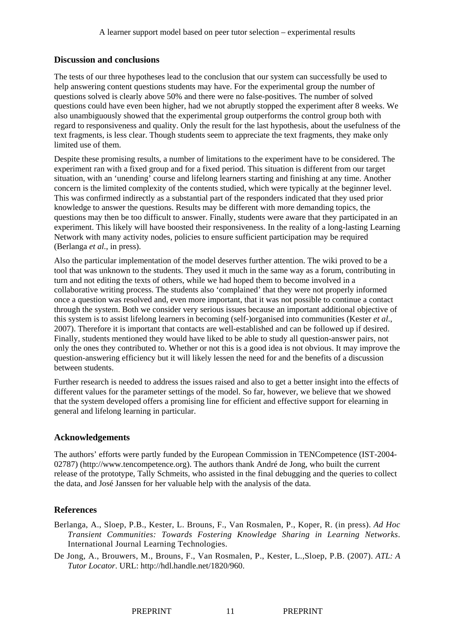### **Discussion and conclusions**

The tests of our three hypotheses lead to the conclusion that our system can successfully be used to help answering content questions students may have. For the experimental group the number of questions solved is clearly above 50% and there were no false-positives. The number of solved questions could have even been higher, had we not abruptly stopped the experiment after 8 weeks. We also unambiguously showed that the experimental group outperforms the control group both with regard to responsiveness and quality. Only the result for the last hypothesis, about the usefulness of the text fragments, is less clear. Though students seem to appreciate the text fragments, they make only limited use of them.

Despite these promising results, a number of limitations to the experiment have to be considered. The experiment ran with a fixed group and for a fixed period. This situation is different from our target situation, with an 'unending' course and lifelong learners starting and finishing at any time. Another concern is the limited complexity of the contents studied, which were typically at the beginner level. This was confirmed indirectly as a substantial part of the responders indicated that they used prior knowledge to answer the questions. Results may be different with more demanding topics, the questions may then be too difficult to answer. Finally, students were aware that they participated in an experiment. This likely will have boosted their responsiveness. In the reality of a long-lasting Learning Network with many activity nodes, policies to ensure sufficient participation may be required (Berlanga *et al*., in press).

Also the particular implementation of the model deserves further attention. The wiki proved to be a tool that was unknown to the students. They used it much in the same way as a forum, contributing in turn and not editing the texts of others, while we had hoped them to become involved in a collaborative writing process. The students also 'complained' that they were not properly informed once a question was resolved and, even more important, that it was not possible to continue a contact through the system. Both we consider very serious issues because an important additional objective of this system is to assist lifelong learners in becoming (self-)organised into communities (Kester *et al*., 2007). Therefore it is important that contacts are well-established and can be followed up if desired. Finally, students mentioned they would have liked to be able to study all question-answer pairs, not only the ones they contributed to. Whether or not this is a good idea is not obvious. It may improve the question-answering efficiency but it will likely lessen the need for and the benefits of a discussion between students.

Further research is needed to address the issues raised and also to get a better insight into the effects of different values for the parameter settings of the model. So far, however, we believe that we showed that the system developed offers a promising line for efficient and effective support for elearning in general and lifelong learning in particular.

### **Acknowledgements**

The authors' efforts were partly funded by the European Commission in TENCompetence (IST-2004- 02787) (http://www.tencompetence.org). The authors thank André de Jong, who built the current release of the prototype, Tally Schmeits, who assisted in the final debugging and the queries to collect the data, and José Janssen for her valuable help with the analysis of the data.

# **References**

- Berlanga, A., Sloep, P.B., Kester, L. Brouns, F., Van Rosmalen, P., Koper, R. (in press). *Ad Hoc Transient Communities: Towards Fostering Knowledge Sharing in Learning Networks*. International Journal Learning Technologies.
- De Jong, A., Brouwers, M., Brouns, F., Van Rosmalen, P., Kester, L.,Sloep, P.B. (2007). *ATL: A Tutor Locator*. URL: http://hdl.handle.net/1820/960.